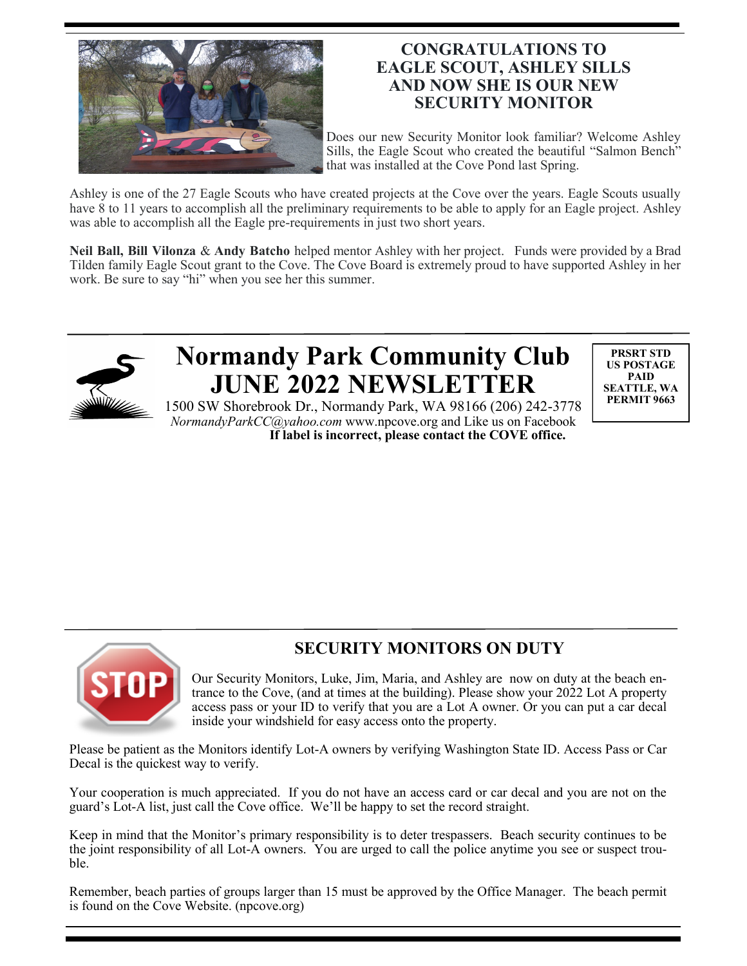

## **CONGRATULATIONS TO EAGLE SCOUT, ASHLEY SILLS AND NOW SHE IS OUR NEW SECURITY MONITOR**

Does our new Security Monitor look familiar? Welcome Ashley Sills, the Eagle Scout who created the beautiful "Salmon Bench" that was installed at the Cove Pond last Spring.

Ashley is one of the 27 Eagle Scouts who have created projects at the Cove over the years. Eagle Scouts usually have 8 to 11 years to accomplish all the preliminary requirements to be able to apply for an Eagle project. Ashley was able to accomplish all the Eagle pre-requirements in just two short years.

**Neil Ball, Bill Vilonza** & **Andy Batcho** helped mentor Ashley with her project. Funds were provided by a Brad Tilden family Eagle Scout grant to the Cove. The Cove Board is extremely proud to have supported Ashley in her work. Be sure to say "hi" when you see her this summer.



# **Normandy Park Community Club JUNE 2022 NEWSLETTER**

**PRSRT STD US POSTAGE PAID SEATTLE, WA PERMIT 9663**

1500 SW Shorebrook Dr., Normandy Park, WA 98166 (206) 242-3778 *NormandyParkCC@yahoo.com* www.npcove.org and Like us on Facebook **If label is incorrect, please contact the COVE office.**



# **SECURITY MONITORS ON DUTY**

Our Security Monitors, Luke, Jim, Maria, and Ashley are now on duty at the beach entrance to the Cove, (and at times at the building). Please show your 2022 Lot A property access pass or your ID to verify that you are a Lot A owner. Or you can put a car decal inside your windshield for easy access onto the property.

Please be patient as the Monitors identify Lot-A owners by verifying Washington State ID. Access Pass or Car Decal is the quickest way to verify.

Your cooperation is much appreciated. If you do not have an access card or car decal and you are not on the guard's Lot-A list, just call the Cove office. We'll be happy to set the record straight.

Keep in mind that the Monitor's primary responsibility is to deter trespassers. Beach security continues to be the joint responsibility of all Lot-A owners. You are urged to call the police anytime you see or suspect trouble.

Remember, beach parties of groups larger than 15 must be approved by the Office Manager. The beach permit is found on the Cove Website. (npcove.org)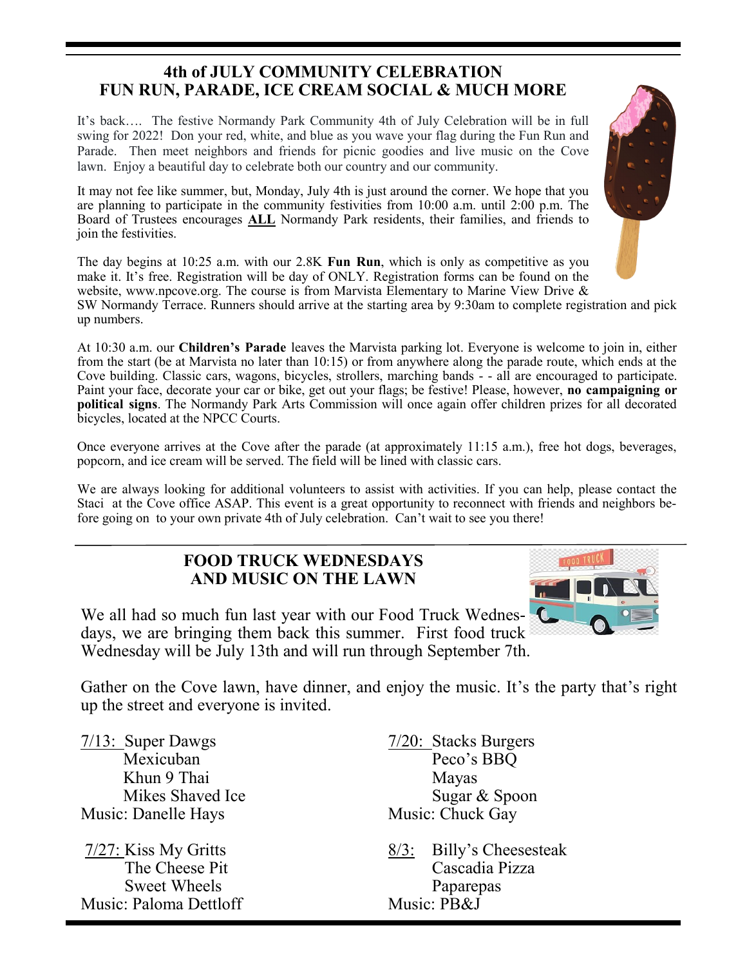## **4th of JULY COMMUNITY CELEBRATION FUN RUN, PARADE, ICE CREAM SOCIAL & MUCH MORE**

It's back…. The festive Normandy Park Community 4th of July Celebration will be in full swing for 2022! Don your red, white, and blue as you wave your flag during the Fun Run and Parade. Then meet neighbors and friends for picnic goodies and live music on the Cove lawn. Enjoy a beautiful day to celebrate both our country and our community.

It may not fee like summer, but, Monday, July 4th is just around the corner. We hope that you are planning to participate in the community festivities from 10:00 a.m. until 2:00 p.m. The Board of Trustees encourages **ALL** Normandy Park residents, their families, and friends to join the festivities.

The day begins at 10:25 a.m. with our 2.8K **Fun Run**, which is only as competitive as you make it. It's free. Registration will be day of ONLY. Registration forms can be found on the website, www.npcove.org. The course is from Marvista Elementary to Marine View Drive &

SW Normandy Terrace. Runners should arrive at the starting area by 9:30am to complete registration and pick up numbers.

At 10:30 a.m. our **Children's Parade** leaves the Marvista parking lot. Everyone is welcome to join in, either from the start (be at Marvista no later than 10:15) or from anywhere along the parade route, which ends at the Cove building. Classic cars, wagons, bicycles, strollers, marching bands - - all are encouraged to participate. Paint your face, decorate your car or bike, get out your flags; be festive! Please, however, **no campaigning or political signs**. The Normandy Park Arts Commission will once again offer children prizes for all decorated bicycles, located at the NPCC Courts.

Once everyone arrives at the Cove after the parade (at approximately 11:15 a.m.), free hot dogs, beverages, popcorn, and ice cream will be served. The field will be lined with classic cars.

We are always looking for additional volunteers to assist with activities. If you can help, please contact the Staci at the Cove office ASAP. This event is a great opportunity to reconnect with friends and neighbors before going on to your own private 4th of July celebration. Can't wait to see you there!

## **FOOD TRUCK WEDNESDAYS AND MUSIC ON THE LAWN**

We all had so much fun last year with our Food Truck Wednesdays, we are bringing them back this summer. First food truck Wednesday will be July 13th and will run through September 7th.

Gather on the Cove lawn, have dinner, and enjoy the music. It's the party that's right up the street and everyone is invited.

 $\frac{7}{13}$ : Super Dawgs  $\frac{7}{20}$ : Stacks Burgers Khun 9 Thai Mayas Music: Danelle Hays Music: Chuck Gay

Sweet Wheels **Paparepas** Music: Paloma Dettloff Music: PB&J

Mexicuban Peco's BBQ Mikes Shaved Ice Sugar & Spoon

 $\frac{7}{27}$ : Kiss My Gritts 8/3: Billy's Cheesesteak The Cheese Pit Cascadia Pizza



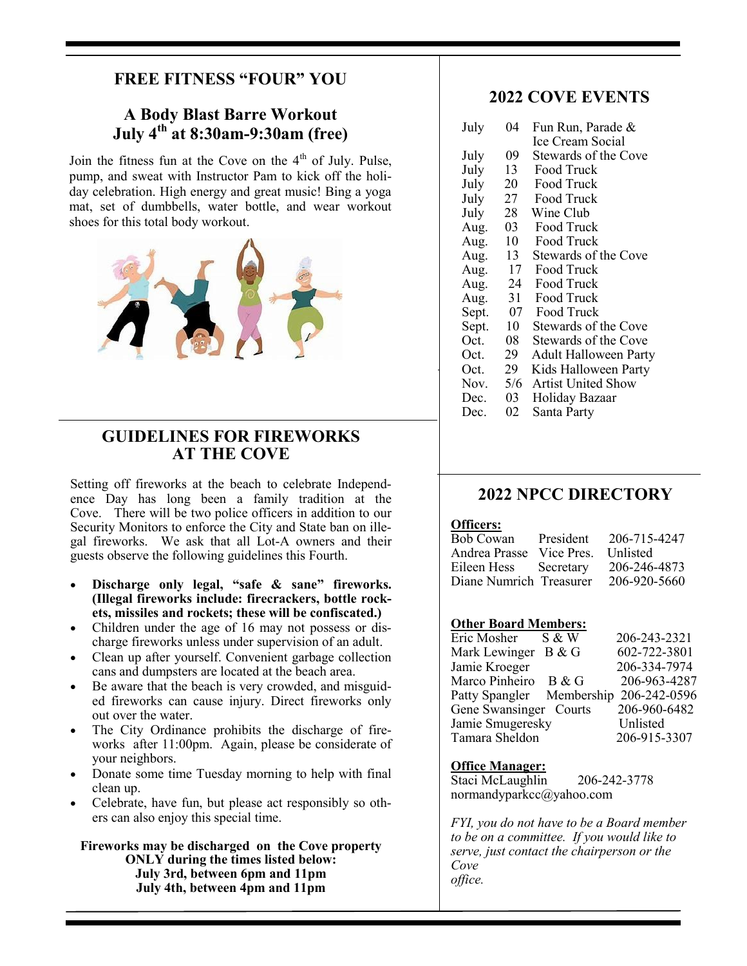## **FREE FITNESS "FOUR" YOU**

#### **A Body Blast Barre Workout July 4th at 8:30am-9:30am (free)**

Join the fitness fun at the Cove on the  $4<sup>th</sup>$  of July. Pulse, pump, and sweat with Instructor Pam to kick off the holiday celebration. High energy and great music! Bing a yoga mat, set of dumbbells, water bottle, and wear workout shoes for this total body workout.



#### **GUIDELINES FOR FIREWORKS AT THE COVE**

Setting off fireworks at the beach to celebrate Independence Day has long been a family tradition at the Cove. There will be two police officers in addition to our Security Monitors to enforce the City and State ban on illegal fireworks. We ask that all Lot-A owners and their guests observe the following guidelines this Fourth.

- **Discharge only legal, "safe & sane" fireworks. (Illegal fireworks include: firecrackers, bottle rockets, missiles and rockets; these will be confiscated.)**
- Children under the age of 16 may not possess or discharge fireworks unless under supervision of an adult.
- Clean up after yourself. Convenient garbage collection cans and dumpsters are located at the beach area.
- Be aware that the beach is very crowded, and misguided fireworks can cause injury. Direct fireworks only out over the water.
- The City Ordinance prohibits the discharge of fireworks after 11:00pm. Again, please be considerate of your neighbors.
- Donate some time Tuesday morning to help with final clean up.
- Celebrate, have fun, but please act responsibly so others can also enjoy this special time.

**Fireworks may be discharged on the Cove property ONLY during the times listed below: July 3rd, between 6pm and 11pm July 4th, between 4pm and 11pm**

#### **2022 COVE EVENTS**

| July  | 04  | Fun Run, Parade &            |  |
|-------|-----|------------------------------|--|
|       |     | Ice Cream Social             |  |
| July  | 09  | Stewards of the Cove         |  |
| July  | 13  | Food Truck                   |  |
| July  | 20  | Food Truck                   |  |
| July  | 27  | Food Truck                   |  |
| July  | 28  | Wine Club                    |  |
| Aug.  | 03  | Food Truck                   |  |
| Aug.  | 10  | Food Truck                   |  |
| Aug.  | 13  | Stewards of the Cove         |  |
| Aug.  | 17  | Food Truck                   |  |
| Aug.  | 24  | Food Truck                   |  |
| Aug.  | 31  | Food Truck                   |  |
| Sept. | 07  | Food Truck                   |  |
| Sept. | 10  | Stewards of the Cove         |  |
| Oct.  | 08  | Stewards of the Cove         |  |
| Oct.  | 29  | <b>Adult Halloween Party</b> |  |
| Oct.  | 29  | Kids Halloween Party         |  |
| Nov.  | 5/6 | <b>Artist United Show</b>    |  |
| Dec.  | 03  | Holiday Bazaar               |  |
| Dec.  | 02  | Santa Party                  |  |

#### **2022 NPCC DIRECTORY**

#### **Officers:**

| Bob Cowan                | President | 206-715-4247 |
|--------------------------|-----------|--------------|
| Andrea Prasse Vice Pres. |           | Unlisted     |
| Eileen Hess Secretary    |           | 206-246-4873 |
| Diane Numrich Treasurer  |           | 206-920-5660 |

#### **Other Board Members:**

| Eric Mosher               | S & W | 206-243-2321 |
|---------------------------|-------|--------------|
| Mark Lewinger             | B & G | 602-722-3801 |
| Jamie Kroeger             |       | 206-334-7974 |
| Marco Pinheiro            | B & G | 206-963-4287 |
| Patty Spangler Membership |       | 206-242-0596 |
| Gene Swansinger Courts    |       | 206-960-6482 |
| Jamie Smugeresky          |       | Unlisted     |
| Tamara Sheldon            |       | 206-915-3307 |

#### **Office Manager:**

Staci McLaughlin 206-242-3778 normandyparkcc@yahoo.com

*FYI, you do not have to be a Board member to be on a committee. If you would like to serve, just contact the chairperson or the Cove office.*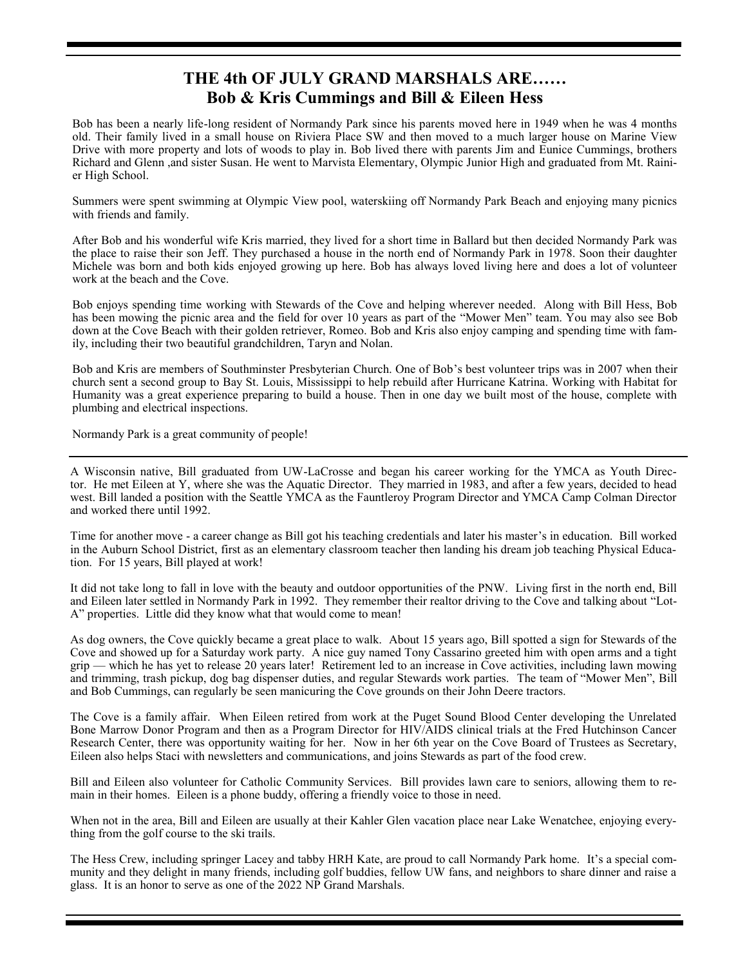### **THE 4th OF JULY GRAND MARSHALS ARE…… Bob & Kris Cummings and Bill & Eileen Hess**

Bob has been a nearly life-long resident of Normandy Park since his parents moved here in 1949 when he was 4 months old. Their family lived in a small house on Riviera Place SW and then moved to a much larger house on Marine View Drive with more property and lots of woods to play in. Bob lived there with parents Jim and Eunice Cummings, brothers Richard and Glenn ,and sister Susan. He went to Marvista Elementary, Olympic Junior High and graduated from Mt. Rainier High School.

Summers were spent swimming at Olympic View pool, waterskiing off Normandy Park Beach and enjoying many picnics with friends and family.

After Bob and his wonderful wife Kris married, they lived for a short time in Ballard but then decided Normandy Park was the place to raise their son Jeff. They purchased a house in the north end of Normandy Park in 1978. Soon their daughter Michele was born and both kids enjoyed growing up here. Bob has always loved living here and does a lot of volunteer work at the beach and the Cove.

Bob enjoys spending time working with Stewards of the Cove and helping wherever needed. Along with Bill Hess, Bob has been mowing the picnic area and the field for over 10 years as part of the "Mower Men" team. You may also see Bob down at the Cove Beach with their golden retriever, Romeo. Bob and Kris also enjoy camping and spending time with family, including their two beautiful grandchildren, Taryn and Nolan.

Bob and Kris are members of Southminster Presbyterian Church. One of Bob's best volunteer trips was in 2007 when their church sent a second group to Bay St. Louis, Mississippi to help rebuild after Hurricane Katrina. Working with Habitat for Humanity was a great experience preparing to build a house. Then in one day we built most of the house, complete with plumbing and electrical inspections.

Normandy Park is a great community of people!

A Wisconsin native, Bill graduated from UW-LaCrosse and began his career working for the YMCA as Youth Director. He met Eileen at Y, where she was the Aquatic Director. They married in 1983, and after a few years, decided to head west. Bill landed a position with the Seattle YMCA as the Fauntleroy Program Director and YMCA Camp Colman Director and worked there until 1992.

Time for another move - a career change as Bill got his teaching credentials and later his master's in education. Bill worked in the Auburn School District, first as an elementary classroom teacher then landing his dream job teaching Physical Education. For 15 years, Bill played at work!

It did not take long to fall in love with the beauty and outdoor opportunities of the PNW. Living first in the north end, Bill and Eileen later settled in Normandy Park in 1992. They remember their realtor driving to the Cove and talking about "Lot-A" properties. Little did they know what that would come to mean!

As dog owners, the Cove quickly became a great place to walk. About 15 years ago, Bill spotted a sign for Stewards of the Cove and showed up for a Saturday work party. A nice guy named Tony Cassarino greeted him with open arms and a tight grip — which he has yet to release 20 years later! Retirement led to an increase in Cove activities, including lawn mowing and trimming, trash pickup, dog bag dispenser duties, and regular Stewards work parties. The team of "Mower Men", Bill and Bob Cummings, can regularly be seen manicuring the Cove grounds on their John Deere tractors.

The Cove is a family affair. When Eileen retired from work at the Puget Sound Blood Center developing the Unrelated Bone Marrow Donor Program and then as a Program Director for HIV/AIDS clinical trials at the Fred Hutchinson Cancer Research Center, there was opportunity waiting for her. Now in her 6th year on the Cove Board of Trustees as Secretary, Eileen also helps Staci with newsletters and communications, and joins Stewards as part of the food crew.

Bill and Eileen also volunteer for Catholic Community Services. Bill provides lawn care to seniors, allowing them to remain in their homes. Eileen is a phone buddy, offering a friendly voice to those in need.

When not in the area, Bill and Eileen are usually at their Kahler Glen vacation place near Lake Wenatchee, enjoying everything from the golf course to the ski trails.

The Hess Crew, including springer Lacey and tabby HRH Kate, are proud to call Normandy Park home. It's a special community and they delight in many friends, including golf buddies, fellow UW fans, and neighbors to share dinner and raise a glass. It is an honor to serve as one of the 2022 NP Grand Marshals.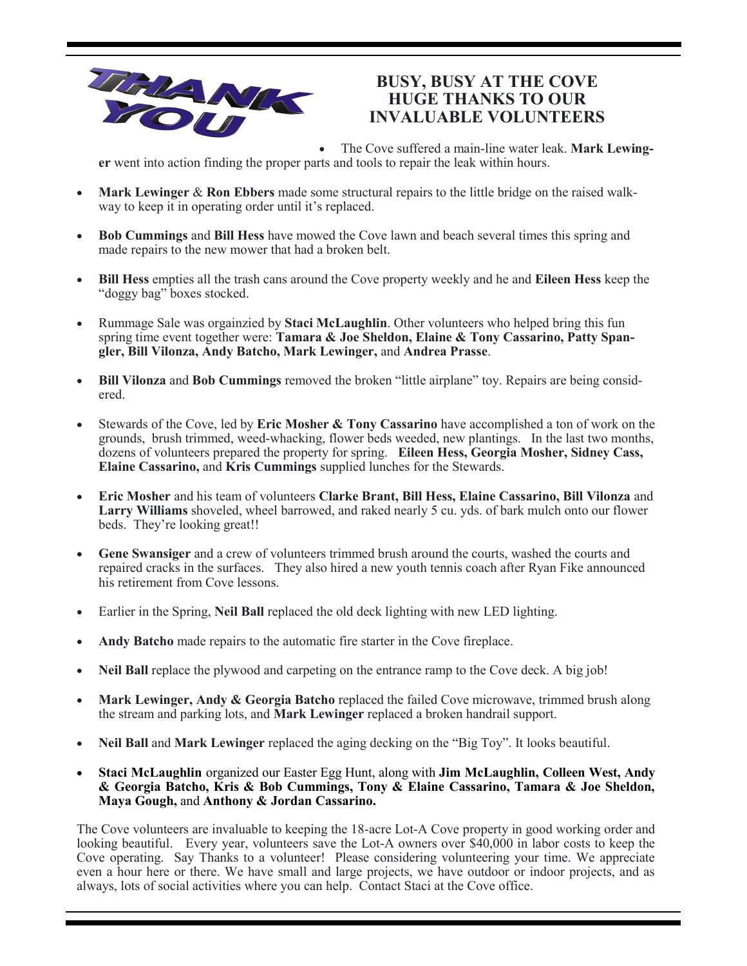

### **BUSY, BUSY AT THE COVE HUGE THANKS TO OUR INVALUABLE VOLUNTEERS**

• The Cove suffered a main-line water leak. **Mark Lewinger** went into action finding the proper parts and tools to repair the leak within hours.

- **Mark Lewinger** & **Ron Ebbers** made some structural repairs to the little bridge on the raised walkway to keep it in operating order until it's replaced.
- **Bob Cummings** and **Bill Hess** have mowed the Cove lawn and beach several times this spring and made repairs to the new mower that had a broken belt.
- **Bill Hess** empties all the trash cans around the Cove property weekly and he and **Eileen Hess** keep the "doggy bag" boxes stocked.
- Rummage Sale was orgainzied by **Staci McLaughlin**. Other volunteers who helped bring this fun spring time event together were: **Tamara & Joe Sheldon, Elaine & Tony Cassarino, Patty Spangler, Bill Vilonza, Andy Batcho, Mark Lewinger,** and **Andrea Prasse**.
- **Bill Vilonza** and **Bob Cummings** removed the broken "little airplane" toy. Repairs are being considered.
- Stewards of the Cove, led by **Eric Mosher & Tony Cassarino** have accomplished a ton of work on the grounds, brush trimmed, weed-whacking, flower beds weeded, new plantings. In the last two months, dozens of volunteers prepared the property for spring. **Eileen Hess, Georgia Mosher, Sidney Cass, Elaine Cassarino,** and **Kris Cummings** supplied lunches for the Stewards.
- **Eric Mosher** and his team of volunteers **Clarke Brant, Bill Hess, Elaine Cassarino, Bill Vilonza** and **Larry Williams** shoveled, wheel barrowed, and raked nearly 5 cu. yds. of bark mulch onto our flower beds. They're looking great!!
- **Gene Swansiger** and a crew of volunteers trimmed brush around the courts, washed the courts and repaired cracks in the surfaces. They also hired a new youth tennis coach after Ryan Fike announced his retirement from Cove lessons.
- Earlier in the Spring, **Neil Ball** replaced the old deck lighting with new LED lighting.
- **Andy Batcho** made repairs to the automatic fire starter in the Cove fireplace.
- Neil Ball replace the plywood and carpeting on the entrance ramp to the Cove deck. A big job!
- Mark Lewinger, Andy & Georgia Batcho replaced the failed Cove microwave, trimmed brush along the stream and parking lots, and **Mark Lewinger** replaced a broken handrail support.
- **Neil Ball** and **Mark Lewinger** replaced the aging decking on the "Big Toy". It looks beautiful.
- **Staci McLaughlin** organized our Easter Egg Hunt, along with **Jim McLaughlin, Colleen West, Andy & Georgia Batcho, Kris & Bob Cummings, Tony & Elaine Cassarino, Tamara & Joe Sheldon, Maya Gough,** and **Anthony & Jordan Cassarino.**

The Cove volunteers are invaluable to keeping the 18-acre Lot-A Cove property in good working order and looking beautiful. Every year, volunteers save the Lot-A owners over \$40,000 in labor costs to keep the Cove operating. Say Thanks to a volunteer! Please considering volunteering your time. We appreciate even a hour here or there. We have small and large projects, we have outdoor or indoor projects, and as always, lots of social activities where you can help. Contact Staci at the Cove office.